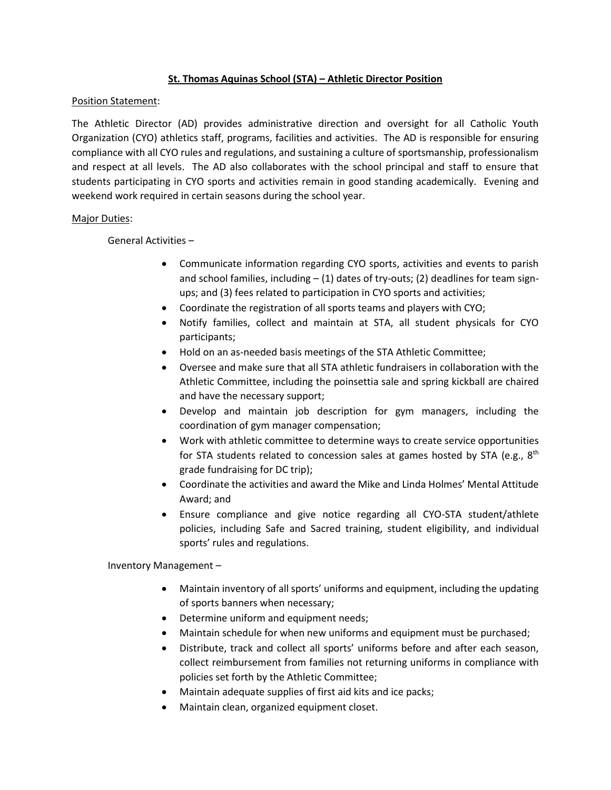## **St. Thomas Aquinas School (STA) – Athletic Director Position**

## Position Statement:

The Athletic Director (AD) provides administrative direction and oversight for all Catholic Youth Organization (CYO) athletics staff, programs, facilities and activities. The AD is responsible for ensuring compliance with all CYO rules and regulations, and sustaining a culture of sportsmanship, professionalism and respect at all levels. The AD also collaborates with the school principal and staff to ensure that students participating in CYO sports and activities remain in good standing academically. Evening and weekend work required in certain seasons during the school year.

## Major Duties:

General Activities –

- Communicate information regarding CYO sports, activities and events to parish and school families, including  $-$  (1) dates of try-outs; (2) deadlines for team signups; and (3) fees related to participation in CYO sports and activities;
- Coordinate the registration of all sports teams and players with CYO;
- Notify families, collect and maintain at STA, all student physicals for CYO participants;
- Hold on an as-needed basis meetings of the STA Athletic Committee;
- Oversee and make sure that all STA athletic fundraisers in collaboration with the Athletic Committee, including the poinsettia sale and spring kickball are chaired and have the necessary support;
- Develop and maintain job description for gym managers, including the coordination of gym manager compensation;
- Work with athletic committee to determine ways to create service opportunities for STA students related to concession sales at games hosted by STA (e.g.,  $8<sup>th</sup>$ grade fundraising for DC trip);
- Coordinate the activities and award the Mike and Linda Holmes' Mental Attitude Award; and
- Ensure compliance and give notice regarding all CYO-STA student/athlete policies, including Safe and Sacred training, student eligibility, and individual sports' rules and regulations.

Inventory Management –

- Maintain inventory of all sports' uniforms and equipment, including the updating of sports banners when necessary;
- Determine uniform and equipment needs;
- Maintain schedule for when new uniforms and equipment must be purchased;
- Distribute, track and collect all sports' uniforms before and after each season, collect reimbursement from families not returning uniforms in compliance with policies set forth by the Athletic Committee;
- Maintain adequate supplies of first aid kits and ice packs;
- Maintain clean, organized equipment closet.